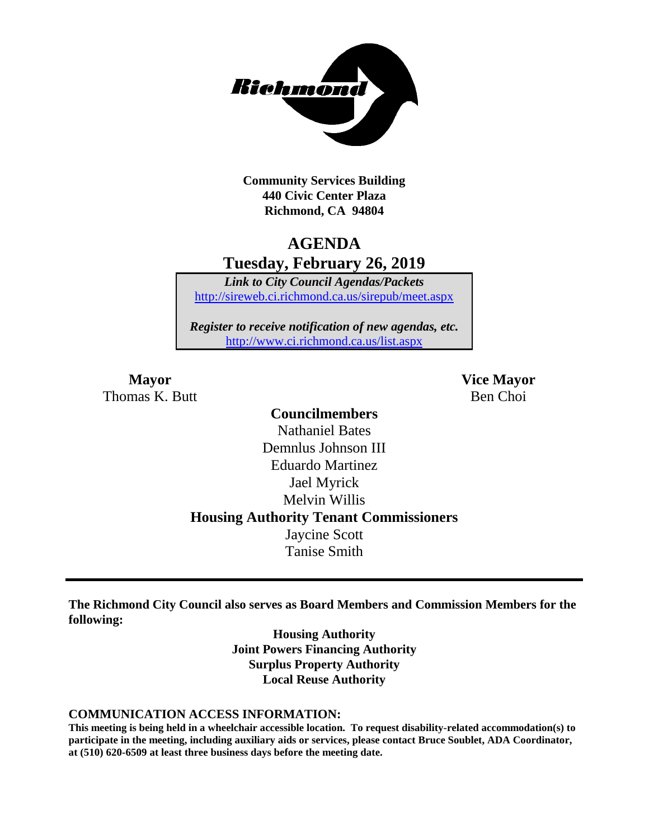

**Community Services Building 440 Civic Center Plaza Richmond, CA 94804**

# **AGENDA Tuesday, February 26, 2019**

*Link to City Council Agendas/Packets* <http://sireweb.ci.richmond.ca.us/sirepub/meet.aspx>

*Register to receive notification of new agendas, etc.* <http://www.ci.richmond.ca.us/list.aspx>

**Mayor Vice Mayor** Thomas K. Butt Ben Choi

# **Councilmembers** Nathaniel Bates Demnlus Johnson III Eduardo Martinez Jael Myrick Melvin Willis **Housing Authority Tenant Commissioners** Jaycine Scott Tanise Smith

**The Richmond City Council also serves as Board Members and Commission Members for the following:**

> **Housing Authority Joint Powers Financing Authority Surplus Property Authority Local Reuse Authority**

#### **COMMUNICATION ACCESS INFORMATION:**

**This meeting is being held in a wheelchair accessible location. To request disability-related accommodation(s) to participate in the meeting, including auxiliary aids or services, please contact Bruce Soublet, ADA Coordinator, at (510) 620-6509 at least three business days before the meeting date.**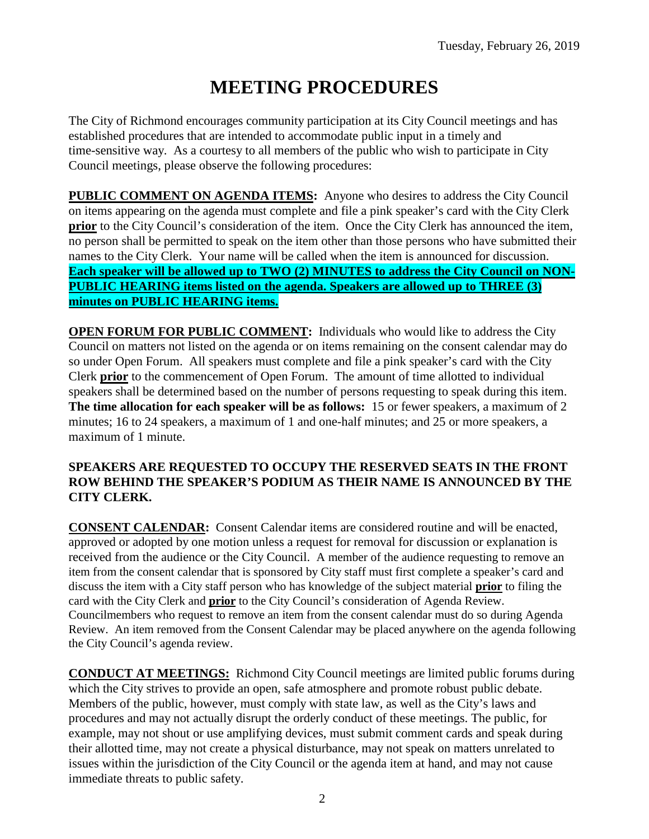# **MEETING PROCEDURES**

The City of Richmond encourages community participation at its City Council meetings and has established procedures that are intended to accommodate public input in a timely and time-sensitive way. As a courtesy to all members of the public who wish to participate in City Council meetings, please observe the following procedures:

**PUBLIC COMMENT ON AGENDA ITEMS:** Anyone who desires to address the City Council on items appearing on the agenda must complete and file a pink speaker's card with the City Clerk **prior** to the City Council's consideration of the item. Once the City Clerk has announced the item, no person shall be permitted to speak on the item other than those persons who have submitted their names to the City Clerk. Your name will be called when the item is announced for discussion. **Each speaker will be allowed up to TWO (2) MINUTES to address the City Council on NON-PUBLIC HEARING items listed on the agenda. Speakers are allowed up to THREE (3) minutes on PUBLIC HEARING items.**

**OPEN FORUM FOR PUBLIC COMMENT:** Individuals who would like to address the City Council on matters not listed on the agenda or on items remaining on the consent calendar may do so under Open Forum. All speakers must complete and file a pink speaker's card with the City Clerk **prior** to the commencement of Open Forum. The amount of time allotted to individual speakers shall be determined based on the number of persons requesting to speak during this item. **The time allocation for each speaker will be as follows:** 15 or fewer speakers, a maximum of 2 minutes; 16 to 24 speakers, a maximum of 1 and one-half minutes; and 25 or more speakers, a maximum of 1 minute.

### **SPEAKERS ARE REQUESTED TO OCCUPY THE RESERVED SEATS IN THE FRONT ROW BEHIND THE SPEAKER'S PODIUM AS THEIR NAME IS ANNOUNCED BY THE CITY CLERK.**

**CONSENT CALENDAR:** Consent Calendar items are considered routine and will be enacted, approved or adopted by one motion unless a request for removal for discussion or explanation is received from the audience or the City Council. A member of the audience requesting to remove an item from the consent calendar that is sponsored by City staff must first complete a speaker's card and discuss the item with a City staff person who has knowledge of the subject material **prior** to filing the card with the City Clerk and **prior** to the City Council's consideration of Agenda Review. Councilmembers who request to remove an item from the consent calendar must do so during Agenda Review. An item removed from the Consent Calendar may be placed anywhere on the agenda following the City Council's agenda review.

**CONDUCT AT MEETINGS:** Richmond City Council meetings are limited public forums during which the City strives to provide an open, safe atmosphere and promote robust public debate. Members of the public, however, must comply with state law, as well as the City's laws and procedures and may not actually disrupt the orderly conduct of these meetings. The public, for example, may not shout or use amplifying devices, must submit comment cards and speak during their allotted time, may not create a physical disturbance, may not speak on matters unrelated to issues within the jurisdiction of the City Council or the agenda item at hand, and may not cause immediate threats to public safety.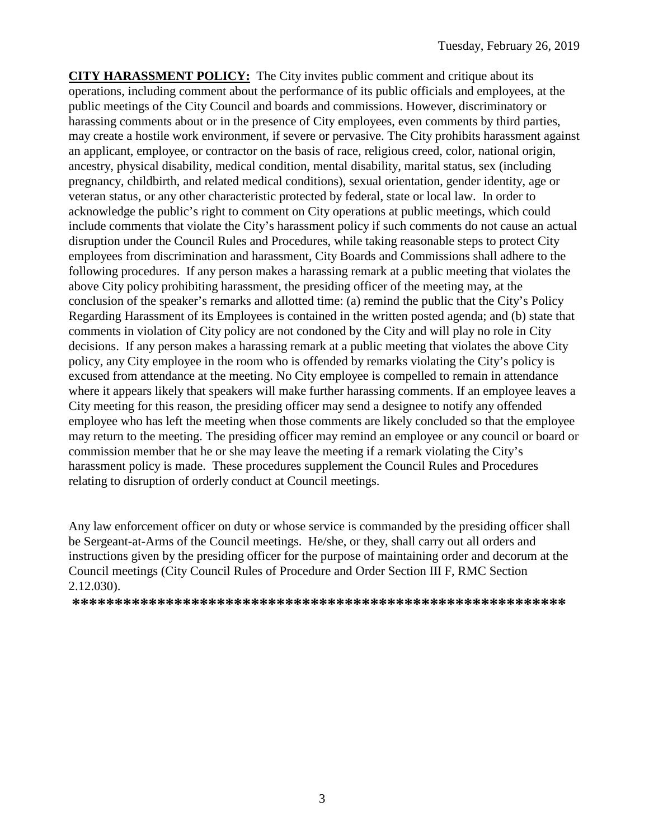**CITY HARASSMENT POLICY:** The City invites public comment and critique about its operations, including comment about the performance of its public officials and employees, at the public meetings of the City Council and boards and commissions. However, discriminatory or harassing comments about or in the presence of City employees, even comments by third parties, may create a hostile work environment, if severe or pervasive. The City prohibits harassment against an applicant, employee, or contractor on the basis of race, religious creed, color, national origin, ancestry, physical disability, medical condition, mental disability, marital status, sex (including pregnancy, childbirth, and related medical conditions), sexual orientation, gender identity, age or veteran status, or any other characteristic protected by federal, state or local law. In order to acknowledge the public's right to comment on City operations at public meetings, which could include comments that violate the City's harassment policy if such comments do not cause an actual disruption under the Council Rules and Procedures, while taking reasonable steps to protect City employees from discrimination and harassment, City Boards and Commissions shall adhere to the following procedures. If any person makes a harassing remark at a public meeting that violates the above City policy prohibiting harassment, the presiding officer of the meeting may, at the conclusion of the speaker's remarks and allotted time: (a) remind the public that the City's Policy Regarding Harassment of its Employees is contained in the written posted agenda; and (b) state that comments in violation of City policy are not condoned by the City and will play no role in City decisions. If any person makes a harassing remark at a public meeting that violates the above City policy, any City employee in the room who is offended by remarks violating the City's policy is excused from attendance at the meeting. No City employee is compelled to remain in attendance where it appears likely that speakers will make further harassing comments. If an employee leaves a City meeting for this reason, the presiding officer may send a designee to notify any offended employee who has left the meeting when those comments are likely concluded so that the employee may return to the meeting. The presiding officer may remind an employee or any council or board or commission member that he or she may leave the meeting if a remark violating the City's harassment policy is made. These procedures supplement the Council Rules and Procedures relating to disruption of orderly conduct at Council meetings.

Any law enforcement officer on duty or whose service is commanded by the presiding officer shall be Sergeant-at-Arms of the Council meetings. He/she, or they, shall carry out all orders and instructions given by the presiding officer for the purpose of maintaining order and decorum at the Council meetings (City Council Rules of Procedure and Order Section III F, RMC Section 2.12.030).

**\*\*\*\*\*\*\*\*\*\*\*\*\*\*\*\*\*\*\*\*\*\*\*\*\*\*\*\*\*\*\*\*\*\*\*\*\*\*\*\*\*\*\*\*\*\*\*\*\*\*\*\*\*\*\*\*\*\***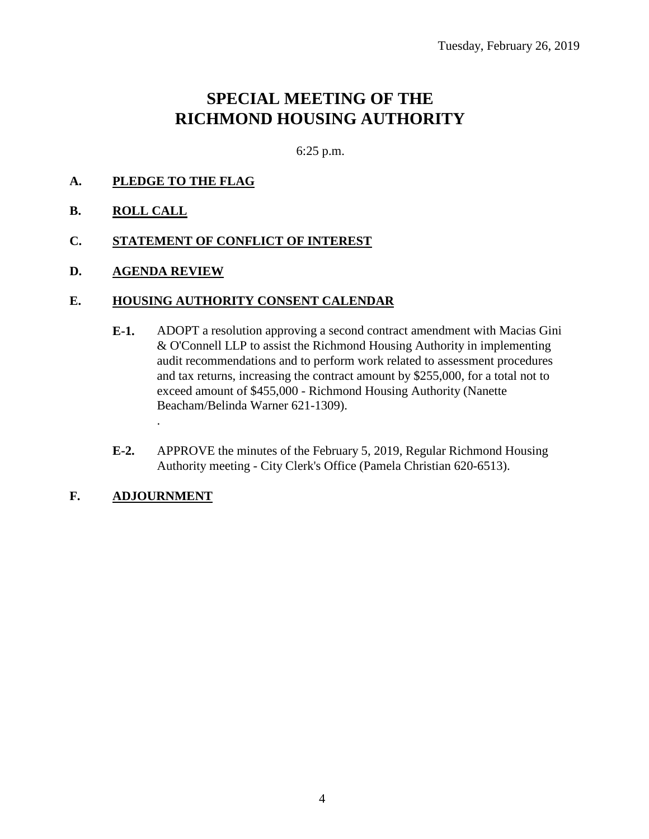# **SPECIAL MEETING OF THE RICHMOND HOUSING AUTHORITY**

6:25 p.m.

# **A. PLEDGE TO THE FLAG**

**B. ROLL CALL**

### **C. STATEMENT OF CONFLICT OF INTEREST**

**D. AGENDA REVIEW**

# **E. HOUSING AUTHORITY CONSENT CALENDAR**

- **E-1.** ADOPT a resolution approving a second contract amendment with Macias Gini & O'Connell LLP to assist the Richmond Housing Authority in implementing audit recommendations and to perform work related to assessment procedures and tax returns, increasing the contract amount by \$255,000, for a total not to exceed amount of \$455,000 - Richmond Housing Authority (Nanette Beacham/Belinda Warner 621-1309).
- **E-2.** APPROVE the minutes of the February 5, 2019, Regular Richmond Housing Authority meeting - City Clerk's Office (Pamela Christian 620-6513).

# **F. ADJOURNMENT**

.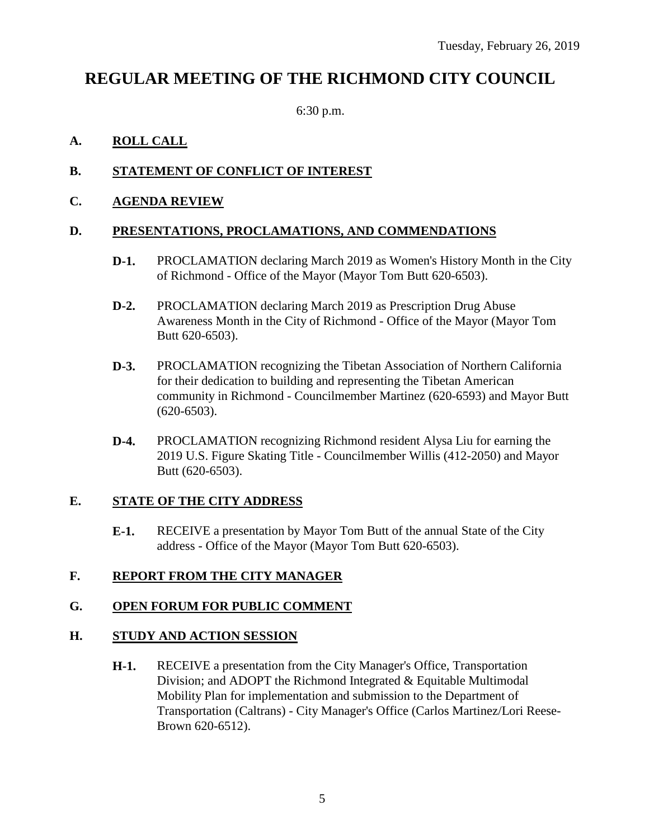# **REGULAR MEETING OF THE RICHMOND CITY COUNCIL**

6:30 p.m.

# **A. ROLL CALL**

# **B. STATEMENT OF CONFLICT OF INTEREST**

### **C. AGENDA REVIEW**

### **D. PRESENTATIONS, PROCLAMATIONS, AND COMMENDATIONS**

- **D-1.** PROCLAMATION declaring March 2019 as Women's History Month in the City of Richmond - Office of the Mayor (Mayor Tom Butt 620-6503).
- **D-2.** PROCLAMATION declaring March 2019 as Prescription Drug Abuse Awareness Month in the City of Richmond - Office of the Mayor (Mayor Tom Butt 620-6503).
- **D-3.** PROCLAMATION recognizing the Tibetan Association of Northern California for their dedication to building and representing the Tibetan American community in Richmond - Councilmember Martinez (620-6593) and Mayor Butt (620-6503).
- **D-4.** PROCLAMATION recognizing Richmond resident Alysa Liu for earning the 2019 U.S. Figure Skating Title - Councilmember Willis (412-2050) and Mayor Butt (620-6503).

### **E. STATE OF THE CITY ADDRESS**

**E-1.** RECEIVE a presentation by Mayor Tom Butt of the annual State of the City address - Office of the Mayor (Mayor Tom Butt 620-6503).

### **F. REPORT FROM THE CITY MANAGER**

### **G. OPEN FORUM FOR PUBLIC COMMENT**

### **H. STUDY AND ACTION SESSION**

**H-1.** RECEIVE a presentation from the City Manager's Office, Transportation Division; and ADOPT the Richmond Integrated & Equitable Multimodal Mobility Plan for implementation and submission to the Department of Transportation (Caltrans) - City Manager's Office (Carlos Martinez/Lori Reese-Brown 620-6512).